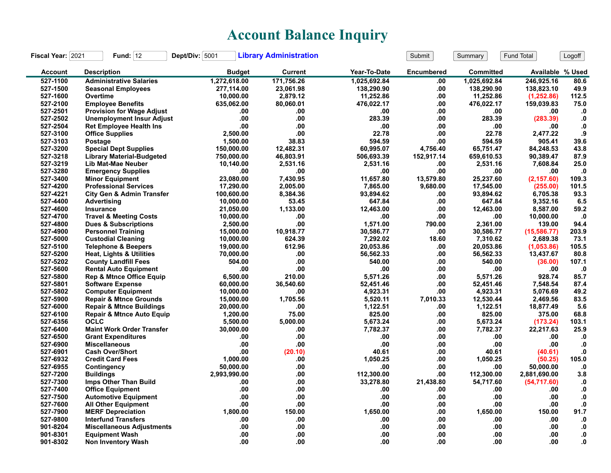## **Account Balance Inquiry**

| Fiscal Year: 2021 | Fund: $12$                           | Dept/Div: 5001 | <b>Library Administration</b> |              | Submit     | Summary          | Fund Total       | Logoff        |
|-------------------|--------------------------------------|----------------|-------------------------------|--------------|------------|------------------|------------------|---------------|
| <b>Account</b>    | <b>Description</b>                   | <b>Budget</b>  | <b>Current</b>                | Year-To-Date | Encumbered | <b>Committed</b> | Available % Used |               |
| 527-1100          | <b>Administrative Salaries</b>       | 1,272,618.00   | 171.756.26                    | 1.025.692.84 | .00        | 1.025.692.84     | 246.925.16       | 80.6          |
| 527-1500          | <b>Seasonal Employees</b>            | 277,114.00     | 23,061.98                     | 138,290.90   | .00.       | 138,290.90       | 138,823.10       | 49.9          |
| 527-1600          | Overtime                             | 10,000.00      | 2,879.12                      | 11,252.86    | .00        | 11,252.86        | (1,252.86)       | 112.5         |
| 527-2100          | <b>Employee Benefits</b>             | 635,062.00     | 80,060.01                     | 476,022.17   | .00        | 476,022.17       | 159,039.83       | 75.0          |
| 527-2501          | <b>Provision for Wage Adjust</b>     | .00            | .00                           | .00          | .00        | .00              | .00              | $\bf{.0}$     |
| 527-2502          | <b>Unemployment Insur Adjust</b>     | .00            | .00                           | 283.39       | .00        | 283.39           | (283.39)         | $\bf{.0}$     |
| 527-2504          | <b>Ret Employee Health Ins</b>       | .00            | .00                           | .00          | .00        | .00              | .00              | $\mathbf{.0}$ |
| 527-3100          | <b>Office Supplies</b>               | 2.500.00       | .00                           | 22.78        | .00        | 22.78            | 2,477.22         | .9            |
| 527-3103          | Postage                              | 1,500.00       | 38.83                         | 594.59       | .00        | 594.59           | 905.41           | 39.6          |
| 527-3200          | <b>Special Dept Supplies</b>         | 150,000.00     | 12,482.31                     | 60.995.07    | 4,756.40   | 65,751.47        | 84,248.53        | 43.8          |
| 527-3218          | <b>Library Material-Budgeted</b>     | 750,000.00     | 46,803.91                     | 506,693.39   | 152,917.14 | 659,610.53       | 90,389.47        | 87.9          |
| 527-3219          | <b>Lib Mat-Mae Neuber</b>            | 10,140.00      | 2,531.16                      | 2,531.16     | .00        | 2,531.16         | 7,608.84         | 25.0          |
| 527-3280          | <b>Emergency Supplies</b>            | .00            | .00                           | .00          | .00        | .00              | .00              | $\mathbf{0}$  |
| 527-3400          | <b>Minor Equipment</b>               | 23,080.00      | 7,430.95                      | 11,657.80    | 13,579.80  | 25,237.60        | (2, 157.60)      | 109.3         |
| 527-4200          | <b>Professional Services</b>         | 17,290.00      | 2,005.00                      | 7,865.00     | 9,680.00   | 17,545.00        | (255.00)         | 101.5         |
| 527-4221          | <b>City Gen &amp; Admin Transfer</b> | 100,600.00     | 8,384.36                      | 93,894.62    | .00        | 93,894.62        | 6,705.38         | 93.3          |
| 527-4400          | Advertising                          | 10,000.00      | 53.45                         | 647.84       | .00        | 647.84           | 9,352.16         | 6.5           |
| 527-4600          | <b>Insurance</b>                     | 21,050.00      | 1,133.00                      | 12,463.00    | .00        | 12,463.00        | 8,587.00         | 59.2          |
| 527-4700          | <b>Travel &amp; Meeting Costs</b>    | 10,000.00      | .00                           | .00          | .00        | .00              | 10,000.00        | $\mathbf{.0}$ |
| 527-4800          | <b>Dues &amp; Subscriptions</b>      | 2,500.00       | .00                           | 1.571.00     | 790.00     | 2.361.00         | 139.00           | 94.4          |
| 527-4900          | <b>Personnel Training</b>            | 15,000.00      | 10,918.77                     | 30,586.77    | .00        | 30,586.77        | (15,586.77)      | 203.9         |
| 527-5000          | <b>Custodial Cleaning</b>            | 10,000.00      | 624.39                        | 7,292.02     | 18.60      | 7,310.62         | 2,689.38         | 73.1          |
| 527-5100          | <b>Telephone &amp; Beepers</b>       | 19,000.00      | 612.96                        | 20.053.86    | .00        | 20,053.86        | (1,053.86)       | 105.5         |
| 527-5200          | <b>Heat, Lights &amp; Utilities</b>  | 70,000.00      | .00                           | 56,562.33    | .00        | 56,562.33        | 13,437.67        | 80.8          |
| 527-5202          | <b>County Landfill Fees</b>          | 504.00         | .00                           | 540.00       | .00        | 540.00           | (36.00)          | 107.1         |
| 527-5600          | <b>Rental Auto Equipment</b>         | .00            | .00                           | .00          | .00        | .00              | .00              | $\cdot$ 0     |
| 527-5800          | <b>Rep &amp; Mtnce Office Equip</b>  | 6,500.00       | 210.00                        | 5.571.26     | .00        | 5.571.26         | 928.74           | 85.7          |
| 527-5801          | <b>Software Expense</b>              | 60,000.00      | 36,540.60                     | 52,451.46    | .00        | 52,451.46        | 7,548.54         | 87.4          |
| 527-5802          | <b>Computer Equipment</b>            | 10,000.00      | .00                           | 4,923.31     | .00        | 4,923.31         | 5,076.69         | 49.2          |
| 527-5900          | <b>Repair &amp; Mtnce Grounds</b>    | 15,000.00      | 1,705.56                      | 5,520.11     | 7,010.33   | 12,530.44        | 2,469.56         | 83.5          |
| 527-6000          | <b>Repair &amp; Mtnce Buildings</b>  | 20,000.00      | .00                           | 1,122.51     | .00        | 1,122.51         | 18,877.49        | 5.6           |
| 527-6100          | <b>Repair &amp; Mtnce Auto Equip</b> | 1,200.00       | 75.00                         | 825.00       | .00        | 825.00           | 375.00           | 68.8          |
| 527-6356          | <b>OCLC</b>                          | 5,500.00       | 5,000.00                      | 5,673.24     | .00.       | 5,673.24         | (173.24)         | 103.1         |
| 527-6400          | <b>Maint Work Order Transfer</b>     | 30,000.00      | .00                           | 7,782.37     | .00        | 7,782.37         | 22,217.63        | 25.9          |
| 527-6500          | <b>Grant Expenditures</b>            | .00            | .00                           | .00          | .00        | .00              | .00              | $\mathbf{.0}$ |
| 527-6900          | <b>Miscellaneous</b>                 | .00            | .00                           | .00          | .00        | .00              | .00              | .0            |
| 527-6901          | <b>Cash Over/Short</b>               | .00            | (20.10)                       | 40.61        | .00        | 40.61            | (40.61)          | $\mathbf{0}$  |
| 527-6932          | <b>Credit Card Fees</b>              | 1.000.00       | .00                           | 1.050.25     | .00        | 1,050.25         | (50.25)          | 105.0         |
| 527-6955          | Contingency                          | 50,000.00      | .00                           | .00          | .00        | .00              | 50,000.00        | $\cdot$       |
| 527-7200          | <b>Buildings</b>                     | 2,993,990.00   | .00                           | 112,300.00   | .00        | 112,300.00       | 2,881,690.00     | 3.8           |
| 527-7300          | Imps Other Than Build                | .00            | .00                           | 33,278.80    | 21,438.80  | 54,717.60        | (54,717.60)      | $\mathbf{.0}$ |
| 527-7400          | <b>Office Equipment</b>              | .00            | .00                           | .00          | .00        | .00              | .00              | $\bf{.0}$     |
| 527-7500          | <b>Automotive Equipment</b>          | .00            | .00                           | .00          | .00        | .00              | .00              | ${\bf .0}$    |
| 527-7600          | <b>All Other Equipment</b>           | .00            | .00                           | .00          | .00.       | .00              | .00              | $\bf{.0}$     |
| 527-7900          | <b>MERF Depreciation</b>             | 1.800.00       | 150.00                        | 1.650.00     | .00        | 1.650.00         | 150.00           | 91.7          |
| 527-9800          | <b>Interfund Transfers</b>           | .00            | .00                           | .00          | .00.       | .00              | .00              | $\mathbf{.0}$ |
| 901-8204          | <b>Miscellaneous Adjustments</b>     | .00            | .00                           | .00.         | .00        | .00              | .00              | .0            |
| 901-8301          | <b>Equipment Wash</b>                | .00            | .00                           | .00          | .00        | .00              | .00              | $\mathbf{0}$  |
| 901-8302          |                                      | .00            | .00                           | .00          | .00.       | .00              | .00              | 0.            |
|                   | <b>Non Inventory Wash</b>            |                |                               |              |            |                  |                  |               |